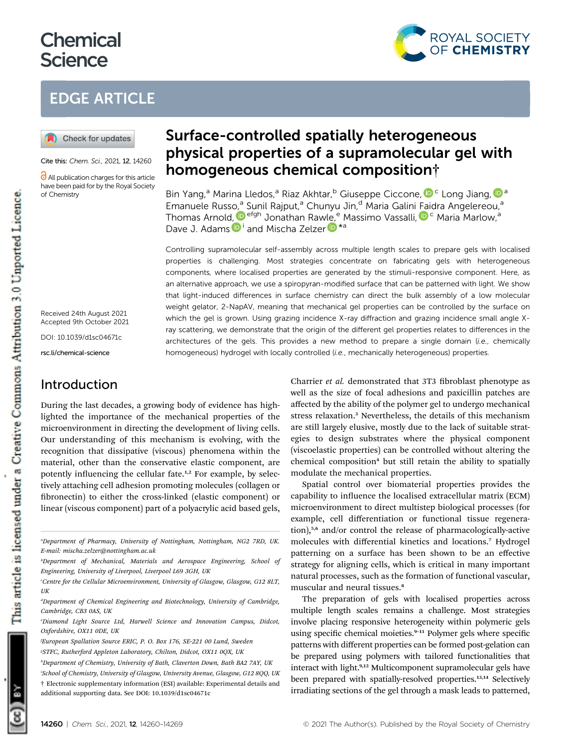# **Chemical Science**



## EDGE ARTICLE



Cite this: Chem. Sci., 2021, 12, 14260

**C** All publication charges for this article have been paid for by the Royal Society of Chemistry

Received 24th August 2021 Accepted 9th October 2021

DOI: 10.1039/d1sc04671c

rsc.li/chemical-science

### Introduction

During the last decades, a growing body of evidence has highlighted the importance of the mechanical properties of the microenvironment in directing the development of living cells. Our understanding of this mechanism is evolving, with the recognition that dissipative (viscous) phenomena within the material, other than the conservative elastic component, are potently influencing the cellular fate.<sup>1,2</sup> For example, by selectively attaching cell adhesion promoting molecules (collagen or fibronectin) to either the cross-linked (elastic component) or linear (viscous component) part of a polyacrylic acid based gels,

a Department of Pharmacy, University of Nottingham, Nottingham, NG2 7RD, UK. E-mail: mischa.zelzer@nottingham.ac.uk

additional supporting data. See DOI: 10.1039/d1sc04671c

## Surface-controlled spatially heterogeneous physical properties of a supramolecular gel with homogeneous chemical composition†

Bin Yang[,](http://orcid.org/0000-0002-7677-6257)<sup>a</sup> Marina Lledos,<sup>a</sup> Riaz Akhtar,<sup>b</sup> Giuseppe Ciccone, D<sup>c</sup> Long Jiang, D<sup>a</sup> Emanuele Russ[o,](http://orcid.org/0000-0001-8295-3822)<sup>a</sup> Sunil Rajput,<sup>a</sup> Chunyu Jin,<sup>d</sup> Maria Galini Faidra Angelereou,<sup>a</sup> Thomas Arnold[,](http://orcid.org/0000-0002-3063-4376) <sup>Defgh</sup> Jonathan Rawle,<sup>e</sup> Massimo Vassalli, D<sup>c</sup> Maria Marlow,<sup>a</sup> Dave J. Adams D<sup>i</sup> and Mischa Zelzer D<sup>\*a</sup>

Controlling supramolecular self-assembly across multiple length scales to prepare gels with localised properties is challenging. Most strategies concentrate on fabricating gels with heterogeneous components, where localised properties are generated by the stimuli-responsive component. Here, as an alternative approach, we use a spiropyran-modified surface that can be patterned with light. We show that light-induced differences in surface chemistry can direct the bulk assembly of a low molecular weight gelator, 2-NapAV, meaning that mechanical gel properties can be controlled by the surface on which the gel is grown. Using grazing incidence X-ray diffraction and grazing incidence small angle Xray scattering, we demonstrate that the origin of the different gel properties relates to differences in the architectures of the gels. This provides a new method to prepare a single domain (i.e., chemically homogeneous) hydrogel with locally controlled (i.e., mechanically heterogeneous) properties.

> Charrier et al. demonstrated that 3T3 fibroblast phenotype as well as the size of focal adhesions and paxicillin patches are affected by the ability of the polymer gel to undergo mechanical stress relaxation.<sup>3</sup> Nevertheless, the details of this mechanism are still largely elusive, mostly due to the lack of suitable strategies to design substrates where the physical component (viscoelastic properties) can be controlled without altering the chemical composition<sup>4</sup> but still retain the ability to spatially modulate the mechanical properties.

> Spatial control over biomaterial properties provides the capability to influence the localised extracellular matrix (ECM) microenvironment to direct multistep biological processes (for example, cell differentiation or functional tissue regeneration),5,6 and/or control the release of pharmacologically-active molecules with differential kinetics and locations.<sup>7</sup> Hydrogel patterning on a surface has been shown to be an effective strategy for aligning cells, which is critical in many important natural processes, such as the formation of functional vascular, muscular and neural tissues.<sup>8</sup>

> The preparation of gels with localised properties across multiple length scales remains a challenge. Most strategies involve placing responsive heterogeneity within polymeric gels using specific chemical moieties.<sup>9-11</sup> Polymer gels where specific patterns with different properties can be formed post-gelation can be prepared using polymers with tailored functionalities that interact with light.9,12 Multicomponent supramolecular gels have been prepared with spatially-resolved properties.<sup>13,14</sup> Selectively irradiating sections of the gel through a mask leads to patterned,



b Department of Mechanical, Materials and Aerospace Engineering, School of Engineering, University of Liverpool, Liverpool L69 3GH, UK

c Centre for the Cellular Microenvironment, University of Glasgow, Glasgow, G12 8LT, UK

d Department of Chemical Engineering and Biotechnology, University of Cambridge, Cambridge, CB3 0AS, UK

e Diamond Light Source Ltd, Harwell Science and Innovation Campus, Didcot, Oxfordshire, OX11 0DE, UK

f European Spallation Source ERIC, P. O. Box 176, SE-221 00 Lund, Sweden g STFC, Rutherford Appleton Laboratory, Chilton, Didcot, OX11 0QX, UK

h Department of Chemistry, University of Bath, Claverton Down, Bath BA2 7AY, UK i School of Chemistry, University of Glasgow, University Avenue, Glasgow, G12 8QQ, UK † Electronic supplementary information (ESI) available: Experimental details and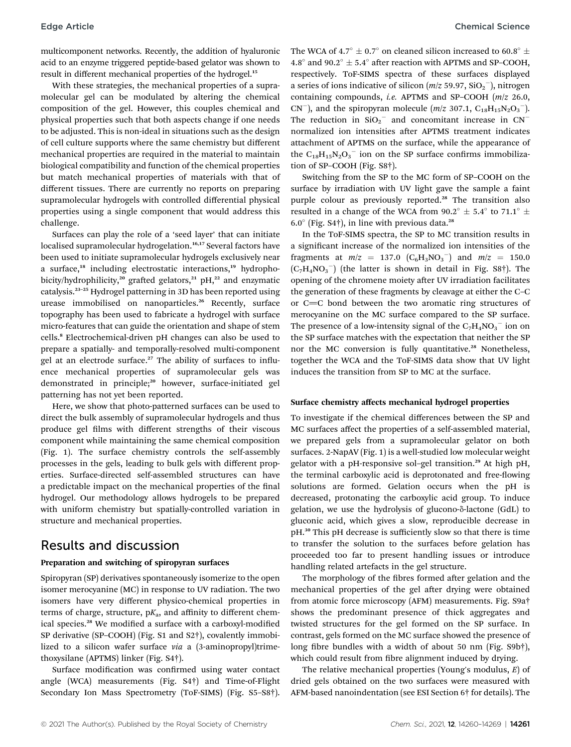multicomponent networks. Recently, the addition of hyaluronic acid to an enzyme triggered peptide-based gelator was shown to result in different mechanical properties of the hydrogel.<sup>15</sup>

With these strategies, the mechanical properties of a supramolecular gel can be modulated by altering the chemical composition of the gel. However, this couples chemical and physical properties such that both aspects change if one needs to be adjusted. This is non-ideal in situations such as the design of cell culture supports where the same chemistry but different mechanical properties are required in the material to maintain biological compatibility and function of the chemical properties but match mechanical properties of materials with that of different tissues. There are currently no reports on preparing supramolecular hydrogels with controlled differential physical properties using a single component that would address this challenge.

Surfaces can play the role of a 'seed layer' that can initiate localised supramolecular hydrogelation.<sup>16,17</sup> Several factors have been used to initiate supramolecular hydrogels exclusively near a surface,<sup>18</sup> including electrostatic interactions,<sup>19</sup> hydrophobicity/hydrophilicity,<sup>20</sup> grafted gelators,<sup>21</sup> pH,<sup>22</sup> and enzymatic catalysis.<sup>23</sup>–<sup>25</sup> Hydrogel patterning in 3D has been reported using urease immobilised on nanoparticles.<sup>26</sup> Recently, surface topography has been used to fabricate a hydrogel with surface micro-features that can guide the orientation and shape of stem cells.<sup>8</sup> Electrochemical-driven pH changes can also be used to prepare a spatially- and temporally-resolved multi-component gel at an electrode surface.<sup>27</sup> The ability of surfaces to influence mechanical properties of supramolecular gels was demonstrated in principle;<sup>20</sup> however, surface-initiated gel patterning has not yet been reported.

Here, we show that photo-patterned surfaces can be used to direct the bulk assembly of supramolecular hydrogels and thus produce gel films with different strengths of their viscous component while maintaining the same chemical composition (Fig. 1). The surface chemistry controls the self-assembly processes in the gels, leading to bulk gels with different properties. Surface-directed self-assembled structures can have a predictable impact on the mechanical properties of the final hydrogel. Our methodology allows hydrogels to be prepared with uniform chemistry but spatially-controlled variation in structure and mechanical properties.

### Results and discussion

#### Preparation and switching of spiropyran surfaces

Spiropyran (SP) derivatives spontaneously isomerize to the open isomer merocyanine (MC) in response to UV radiation. The two isomers have very different physico-chemical properties in terms of charge, structure,  $pK_a$ , and affinity to different chemical species.<sup>28</sup> We modified a surface with a carboxyl-modified SP derivative (SP–COOH) (Fig. S1 and S2†), covalently immobilized to a silicon wafer surface via a (3-aminopropyl)trimethoxysilane (APTMS) linker (Fig. S4†).

Surface modification was confirmed using water contact angle (WCA) measurements (Fig. S4†) and Time-of-Flight Secondary Ion Mass Spectrometry (ToF-SIMS) (Fig. S5–S8†).

The WCA of 4.7°  $\pm$  0.7° on cleaned silicon increased to 60.8°  $\pm$ 4.8 $^{\circ}$  and 90.2 $^{\circ}$   $\pm$  5.4 $^{\circ}$  after reaction with APTMS and SP–COOH, respectively. ToF-SIMS spectra of these surfaces displayed a series of ions indicative of silicon  $(m/z\;59.97,SiO_2^-)$ , nitrogen containing compounds, i.e. APTMS and SP–COOH (m/z 26.0,  $CN^{-}$ ), and the spiropyran molecule (*m*/z 307.1,  $C_{18}H_{15}N_2O_3^{-}$ ). The reduction in  $SiO_2^-$  and concomitant increase in  $CN^$ normalized ion intensities after APTMS treatment indicates attachment of APTMS on the surface, while the appearance of the  $C_{18}H_{15}N_2O_3^-$  ion on the SP surface confirms immobilization of SP–COOH (Fig. S8†).

Switching from the SP to the MC form of SP–COOH on the surface by irradiation with UV light gave the sample a faint purple colour as previously reported.<sup>28</sup> The transition also resulted in a change of the WCA from 90.2°  $\pm$  5.4° to 71.1°  $\pm$  $6.0^\circ$  (Fig. S4†), in line with previous data.<sup>28</sup>

In the ToF-SIMS spectra, the SP to MC transition results in a significant increase of the normalized ion intensities of the fragments at  $m/z = 137.0$   $(C_6H_3NO_3^-)$  and  $m/z = 150.0$  $(C_7H_4NO_3^-)$  (the latter is shown in detail in Fig. S8†). The opening of the chromene moiety after UV irradiation facilitates the generation of these fragments by cleavage at either the C–C or  $C=C$  bond between the two aromatic ring structures of merocyanine on the MC surface compared to the SP surface. The presence of a low-intensity signal of the  $\text{C}_7\text{H}_4\text{NO}_3^-$  ion on the SP surface matches with the expectation that neither the SP nor the MC conversion is fully quantitative.<sup>28</sup> Nonetheless, together the WCA and the ToF-SIMS data show that UV light induces the transition from SP to MC at the surface.

#### Surface chemistry affects mechanical hydrogel properties

To investigate if the chemical differences between the SP and MC surfaces affect the properties of a self-assembled material, we prepared gels from a supramolecular gelator on both surfaces. 2-NapAV (Fig. 1) is a well-studied low molecular weight gelator with a pH-responsive sol-gel transition.<sup>29</sup> At high pH, the terminal carboxylic acid is deprotonated and free-flowing solutions are formed. Gelation occurs when the pH is decreased, protonating the carboxylic acid group. To induce gelation, we use the hydrolysis of glucono-δ-lactone (GdL) to gluconic acid, which gives a slow, reproducible decrease in pH.<sup>30</sup> This pH decrease is sufficiently slow so that there is time to transfer the solution to the surfaces before gelation has proceeded too far to present handling issues or introduce handling related artefacts in the gel structure.

The morphology of the fibres formed after gelation and the mechanical properties of the gel after drying were obtained from atomic force microscopy (AFM) measurements. Fig. S9a† shows the predominant presence of thick aggregates and twisted structures for the gel formed on the SP surface. In contrast, gels formed on the MC surface showed the presence of long fibre bundles with a width of about 50 nm (Fig.  $S9b\dagger$ ), which could result from fibre alignment induced by drying.

The relative mechanical properties (Young's modulus, E) of dried gels obtained on the two surfaces were measured with AFM-based nanoindentation (see ESI Section 6† for details). The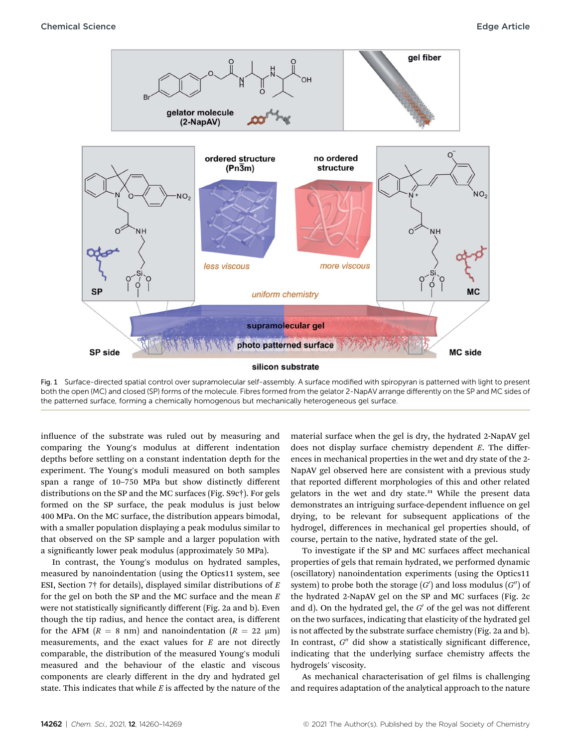

Fig. 1 Surface-directed spatial control over supramolecular self-assembly. A surface modified with spiropyran is patterned with light to present both the open (MC) and closed (SP) forms of the molecule. Fibres formed from the gelator 2-NapAV arrange differently on the SP and MC sides of the patterned surface, forming a chemically homogenous but mechanically heterogeneous gel surface.

influence of the substrate was ruled out by measuring and comparing the Young's modulus at different indentation depths before settling on a constant indentation depth for the experiment. The Young's moduli measured on both samples span a range of 10–750 MPa but show distinctly different distributions on the SP and the MC surfaces (Fig. S9c†). For gels formed on the SP surface, the peak modulus is just below 400 MPa. On the MC surface, the distribution appears bimodal, with a smaller population displaying a peak modulus similar to that observed on the SP sample and a larger population with a significantly lower peak modulus (approximately 50 MPa).

In contrast, the Young's modulus on hydrated samples, measured by nanoindentation (using the Optics11 system, see ESI, Section 7† for details), displayed similar distributions of  $E$ for the gel on both the SP and the MC surface and the mean  ${\cal E}$ were not statistically significantly different (Fig. 2a and b). Even though the tip radius, and hence the contact area, is different for the AFM  $(R = 8 \text{ nm})$  and nanoindentation  $(R = 22 \text{ µm})$ measurements, and the exact values for  $E$  are not directly comparable, the distribution of the measured Young's moduli measured and the behaviour of the elastic and viscous components are clearly different in the dry and hydrated gel state. This indicates that while  $E$  is affected by the nature of the material surface when the gel is dry, the hydrated 2-NapAV gel does not display surface chemistry dependent E. The differences in mechanical properties in the wet and dry state of the 2- NapAV gel observed here are consistent with a previous study that reported different morphologies of this and other related gelators in the wet and dry state.<sup>31</sup> While the present data demonstrates an intriguing surface-dependent influence on gel drying, to be relevant for subsequent applications of the hydrogel, differences in mechanical gel properties should, of course, pertain to the native, hydrated state of the gel.

To investigate if the SP and MC surfaces affect mechanical properties of gels that remain hydrated, we performed dynamic (oscillatory) nanoindentation experiments (using the Optics11 system) to probe both the storage  $(G')$  and loss modulus  $(G'')$  of the hydrated 2-NapAV gel on the SP and MC surfaces (Fig. 2c and d). On the hydrated gel, the  $G'$  of the gel was not different on the two surfaces, indicating that elasticity of the hydrated gel is not affected by the substrate surface chemistry (Fig. 2a and b). In contrast,  $G''$  did show a statistically significant difference, indicating that the underlying surface chemistry affects the hydrogels' viscosity.

As mechanical characterisation of gel films is challenging and requires adaptation of the analytical approach to the nature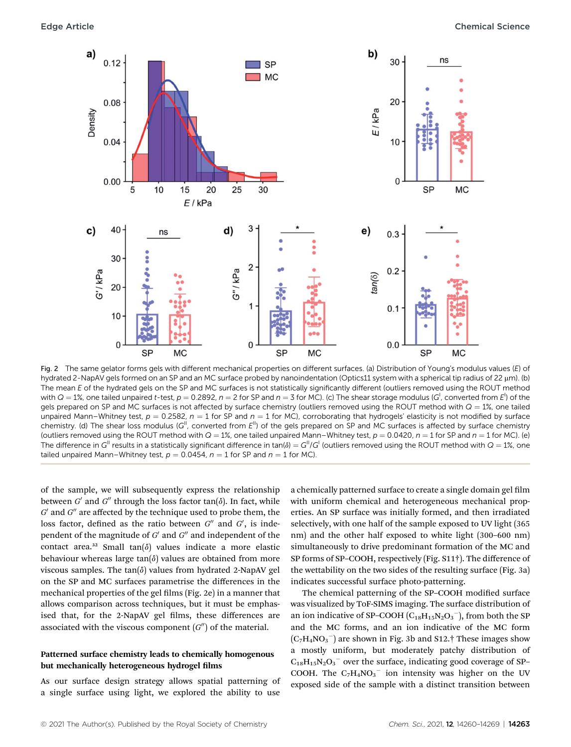

Fig. 2 The same gelator forms gels with different mechanical properties on different surfaces. (a) Distribution of Young's modulus values (E) of hydrated 2-NapAV gels formed on an SP and an MC surface probed by nanoindentation (Optics11 system with a spherical tip radius of 22 µm). (b) The mean E of the hydrated gels on the SP and MC surfaces is not statistically significantly different (outliers removed using the ROUT method with Q = 1%, one tailed unpaired t-test,  $p = 0.2892$ ,  $n = 2$  for SP and  $n = 3$  for MC). (c) The shear storage modulus (G<sup>I</sup>, converted from E<sup>I</sup>) of the gels prepared on SP and MC surfaces is not affected by surface chemistry (outliers removed using the ROUT method with  $Q = 1\%$ , one tailed unpaired Mann–Whitney test,  $p = 0.2582$ ,  $n = 1$  for SP and  $n = 1$  for MC), corroborating that hydrogels' elasticity is not modified by surface chemistry. (d) The shear loss modulus ( $G^{\parallel}$ , converted from  $E^{\parallel}$ ) of the gels prepared on SP and MC surfaces is affected by surface chemistry (outliers removed using the ROUT method with  $Q = 1\%$ , one tailed unpaired Mann–Whitney test,  $p = 0.0420$ ,  $n = 1$  for SP and  $n = 1$  for MC). (e) The difference in  $G^{\parallel}$  results in a statistically significant difference in tan( $\delta$ )  $=G^{\parallel}/G^{\parallel}$  (outliers removed using the ROUT method with  $Q=1$ %, one tailed unpaired Mann–Whitney test,  $p = 0.0454$ ,  $n = 1$  for SP and  $n = 1$  for MC).

of the sample, we will subsequently express the relationship between  $G'$  and  $G''$  through the loss factor tan( $\delta$ ). In fact, while  $G^{\prime}$  and  $G^{\prime\prime}$  are affected by the technique used to probe them, the loss factor, defined as the ratio between  $G''$  and  $G'$ , is independent of the magnitude of  $G'$  and  $G''$  and independent of the contact area.<sup>32</sup> Small tan( $\delta$ ) values indicate a more elastic behaviour whereas large  $tan(\delta)$  values are obtained from more viscous samples. The tan $(\delta)$  values from hydrated 2-NapAV gel on the SP and MC surfaces parametrise the differences in the mechanical properties of the gel films (Fig. 2e) in a manner that allows comparison across techniques, but it must be emphasised that, for the 2-NapAV gel films, these differences are associated with the viscous component  $(G'')$  of the material.

#### Patterned surface chemistry leads to chemically homogenous but mechanically heterogeneous hydrogel films

As our surface design strategy allows spatial patterning of a single surface using light, we explored the ability to use

a chemically patterned surface to create a single domain gel film with uniform chemical and heterogeneous mechanical properties. An SP surface was initially formed, and then irradiated selectively, with one half of the sample exposed to UV light (365 nm) and the other half exposed to white light (300–600 nm) simultaneously to drive predominant formation of the MC and SP forms of SP–COOH, respectively (Fig. S11†). The difference of the wettability on the two sides of the resulting surface (Fig. 3a) indicates successful surface photo-patterning.

The chemical patterning of the SP-COOH modified surface was visualized by ToF-SIMS imaging. The surface distribution of an ion indicative of SP–COOH  $\left(C_{18}H_{15}N_2O_3\right)$ , from both the SP and the MC forms, and an ion indicative of the MC form  $(C_7H_4NO_3^-)$  are shown in Fig. 3b and S12.† These images show a mostly uniform, but moderately patchy distribution of  $C_{18}H_{15}N_2O_3$ <sup>-</sup> over the surface, indicating good coverage of SP-COOH. The  $C_7H_4NO_3^-$  ion intensity was higher on the UV exposed side of the sample with a distinct transition between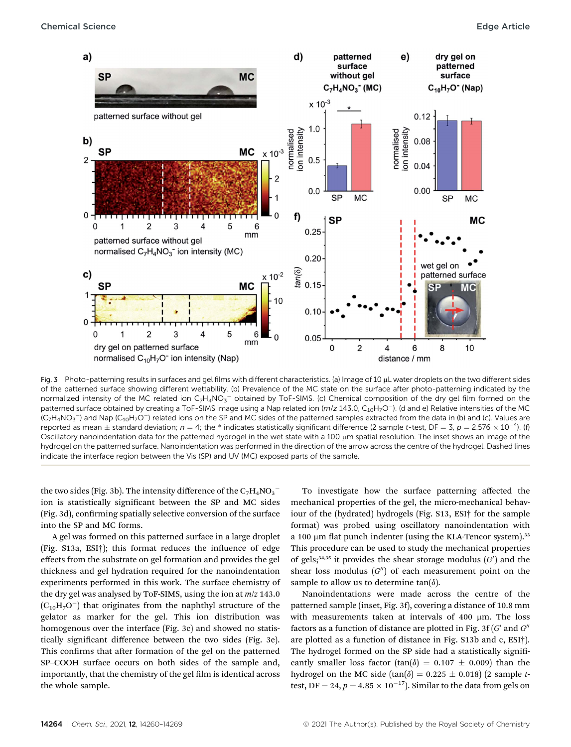

Fig. 3 Photo-patterning results in surfaces and gel films with different characteristics. (a) Image of 10 µL water droplets on the two different sides of the patterned surface showing different wettability. (b) Prevalence of the MC state on the surface after photo-patterning indicated by the normalized intensity of the MC related ion  $C_7H_4NO_3^-$  obtained by ToF-SIMS. (c) Chemical composition of the dry gel film formed on the patterned surface obtained by creating a ToF-SIMS image using a Nap related ion  $(m/z 143.0, C_{10}H<sub>7</sub>O<sup>-</sup>)$ . (d and e) Relative intensities of the MC (C<sub>7</sub>H<sub>4</sub>NO<sub>3</sub> $^-$ ) and Nap (C<sub>10</sub>H<sub>7</sub>O $^-$ ) related ions on the SP and MC sides of the patterned samples extracted from the data in (b) and (c). Values are reported as mean  $\pm$  standard deviation;  $n = 4$ ; the \* indicates statistically significant difference (2 sample t-test, DF = 3, p = 2.576  $\times$  10<sup>-4</sup>). (f) Oscillatory nanoindentation data for the patterned hydrogel in the wet state with a 100 µm spatial resolution. The inset shows an image of the hydrogel on the patterned surface. Nanoindentation was performed in the direction of the arrow across the centre of the hydrogel. Dashed lines indicate the interface region between the Vis (SP) and UV (MC) exposed parts of the sample.

the two sides (Fig. 3b). The intensity difference of the  $\mathrm{C_7H_4NO_3}^$ ion is statistically significant between the SP and MC sides (Fig. 3d), confirming spatially selective conversion of the surface into the SP and MC forms.

A gel was formed on this patterned surface in a large droplet (Fig.  $S13a$ ,  $ESI<sup>+</sup>$ ); this format reduces the influence of edge effects from the substrate on gel formation and provides the gel thickness and gel hydration required for the nanoindentation experiments performed in this work. The surface chemistry of the dry gel was analysed by ToF-SIMS, using the ion at  $m/z$  143.0  $(C_{10}H_7O^-)$  that originates from the naphthyl structure of the gelator as marker for the gel. This ion distribution was homogenous over the interface (Fig. 3c) and showed no statistically significant difference between the two sides (Fig. 3e). This confirms that after formation of the gel on the patterned SP–COOH surface occurs on both sides of the sample and, importantly, that the chemistry of the gel film is identical across the whole sample.

To investigate how the surface patterning affected the mechanical properties of the gel, the micro-mechanical behaviour of the (hydrated) hydrogels (Fig. S13, ESI† for the sample format) was probed using oscillatory nanoindentation with a 100  $\mu$ m flat punch indenter (using the KLA-Tencor system).<sup>33</sup> This procedure can be used to study the mechanical properties of gels;<sup>34,35</sup> it provides the shear storage modulus  $(G')$  and the shear loss modulus  $(G'')$  of each measurement point on the sample to allow us to determine tan $(\delta)$ .

Nanoindentations were made across the centre of the patterned sample (inset, Fig. 3f), covering a distance of 10.8 mm with measurements taken at intervals of 400 µm. The loss factors as a function of distance are plotted in Fig. 3f  $(G'$  and  $G''$ are plotted as a function of distance in Fig. S13b and c, ESI†). The hydrogel formed on the SP side had a statistically significantly smaller loss factor (tan( $\delta$ ) = 0.107  $\pm$  0.009) than the hydrogel on the MC side (tan( $\delta$ ) = 0.225  $\pm$  0.018) (2 sample ttest, DF = 24,  $p = 4.85 \times 10^{-17}$ ). Similar to the data from gels on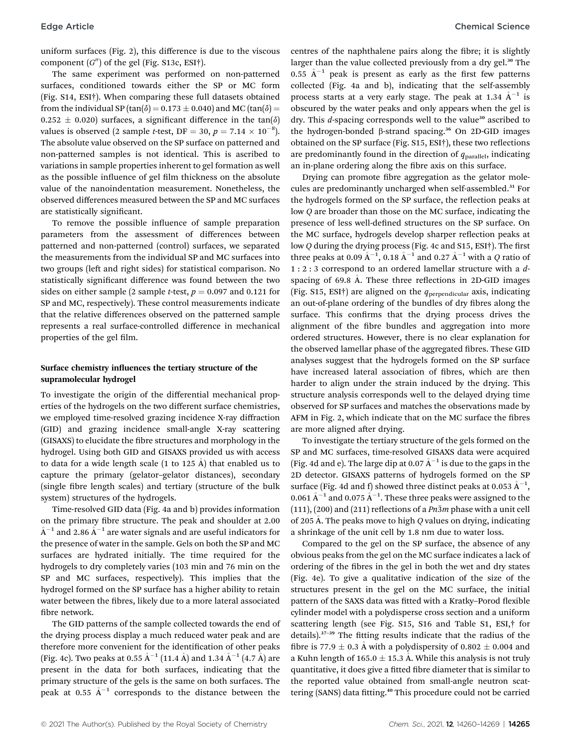uniform surfaces (Fig. 2), this difference is due to the viscous component  $(G'')$  of the gel (Fig. S13c, ESI†).

The same experiment was performed on non-patterned surfaces, conditioned towards either the SP or MC form (Fig. S14, ESI†). When comparing these full datasets obtained from the individual SP (tan( $\delta$ ) = 0.173  $\pm$  0.040) and MC (tan( $\delta$ ) =  $0.252 \pm 0.020$ ) surfaces, a significant difference in the tan( $\delta$ ) values is observed (2 sample *t*-test, DF = 30,  $p = 7.14 \times 10^{-8}$ ). The absolute value observed on the SP surface on patterned and non-patterned samples is not identical. This is ascribed to variations in sample properties inherent to gel formation as well as the possible influence of gel film thickness on the absolute value of the nanoindentation measurement. Nonetheless, the observed differences measured between the SP and MC surfaces are statistically significant.

To remove the possible influence of sample preparation parameters from the assessment of differences between patterned and non-patterned (control) surfaces, we separated the measurements from the individual SP and MC surfaces into two groups (left and right sides) for statistical comparison. No statistically significant difference was found between the two sides on either sample (2 sample *t*-test,  $p = 0.097$  and 0.121 for SP and MC, respectively). These control measurements indicate that the relative differences observed on the patterned sample represents a real surface-controlled difference in mechanical properties of the gel film.

#### Surface chemistry influences the tertiary structure of the supramolecular hydrogel

To investigate the origin of the differential mechanical properties of the hydrogels on the two different surface chemistries, we employed time-resolved grazing incidence X-ray diffraction (GID) and grazing incidence small-angle X-ray scattering (GISAXS) to elucidate the fibre structures and morphology in the hydrogel. Using both GID and GISAXS provided us with access to data for a wide length scale (1 to 125  $\AA$ ) that enabled us to capture the primary (gelator–gelator distances), secondary (single fibre length scales) and tertiary (structure of the bulk system) structures of the hydrogels.

Time-resolved GID data (Fig. 4a and b) provides information on the primary fibre structure. The peak and shoulder at 2.00  $A^{-1}$  and 2.86  $A^{-1}$  are water signals and are useful indicators for the presence of water in the sample. Gels on both the SP and MC surfaces are hydrated initially. The time required for the hydrogels to dry completely varies (103 min and 76 min on the SP and MC surfaces, respectively). This implies that the hydrogel formed on the SP surface has a higher ability to retain water between the fibres, likely due to a more lateral associated fibre network.

The GID patterns of the sample collected towards the end of the drying process display a much reduced water peak and are therefore more convenient for the identification of other peaks (Fig. 4c). Two peaks at 0.55  $A^{-1}$  (11.4 A) and 1.34  $A^{-1}$  (4.7 A) are present in the data for both surfaces, indicating that the primary structure of the gels is the same on both surfaces. The peak at 0.55  $\AA^{-1}$  corresponds to the distance between the

centres of the naphthalene pairs along the fibre; it is slightly larger than the value collected previously from a dry gel.<sup>30</sup> The 0.55  $\AA^{-1}$  peak is present as early as the first few patterns collected (Fig. 4a and b), indicating that the self-assembly process starts at a very early stage. The peak at 1.34  $A^{-1}$  is obscured by the water peaks and only appears when the gel is dry. This *d*-spacing corresponds well to the value<sup>30</sup> ascribed to the hydrogen-bonded  $\beta$ -strand spacing.<sup>36</sup> On 2D-GID images obtained on the SP surface (Fig. S15, ESI<sup>†</sup>), these two reflections are predominantly found in the direction of  $q_{parallel}$ , indicating an in-plane ordering along the fibre axis on this surface.

Drying can promote fibre aggregation as the gelator molecules are predominantly uncharged when self-assembled.<sup>31</sup> For the hydrogels formed on the SP surface, the reflection peaks at low Q are broader than those on the MC surface, indicating the presence of less well-defined structures on the SP surface. On the MC surface, hydrogels develop sharper reflection peaks at low  $Q$  during the drying process (Fig. 4c and S15, ESI $\dagger$ ). The first three peaks at 0.09 Å $^{-1}$ , 0.18 Å $^{-1}$  and 0.27 Å $^{-1}$  with a  $Q$  ratio of 1 : 2 : 3 correspond to an ordered lamellar structure with a dspacing of 69.8 Å. These three reflections in 2D-GID images (Fig. S15, ESI†) are aligned on the  $q_{perpendicular}$  axis, indicating an out-of-plane ordering of the bundles of dry fibres along the surface. This confirms that the drying process drives the alignment of the fibre bundles and aggregation into more ordered structures. However, there is no clear explanation for the observed lamellar phase of the aggregated fibres. These GID analyses suggest that the hydrogels formed on the SP surface have increased lateral association of fibres, which are then harder to align under the strain induced by the drying. This structure analysis corresponds well to the delayed drying time observed for SP surfaces and matches the observations made by AFM in Fig. 2, which indicate that on the MC surface the fibres are more aligned after drying.

To investigate the tertiary structure of the gels formed on the SP and MC surfaces, time-resolved GISAXS data were acquired (Fig. 4d and e). The large dip at 0.07  $\AA^{-1}$  is due to the gaps in the 2D detector. GISAXS patterns of hydrogels formed on the SP surface (Fig. 4d and f) showed three distinct peaks at 0.053  $\rm \AA^{-1},$ 0.061  $\rm \AA^{-1}$  and 0.075  $\rm \AA^{-1}$ . These three peaks were assigned to the (111), (200) and (211) reflections of a  $Pn\overline{3}m$  phase with a unit cell of 205 A. The peaks move to high Q values on drying, indicating a shrinkage of the unit cell by 1.8 nm due to water loss.

Compared to the gel on the SP surface, the absence of any obvious peaks from the gel on the MC surface indicates a lack of ordering of the fibres in the gel in both the wet and dry states (Fig. 4e). To give a qualitative indication of the size of the structures present in the gel on the MC surface, the initial pattern of the SAXS data was fitted with a Kratky-Porod flexible cylinder model with a polydisperse cross section and a uniform scattering length (see Fig. S15, S16 and Table S1, ESI,† for details).<sup>37-39</sup> The fitting results indicate that the radius of the fibre is 77.9  $\pm$  0.3 Å with a polydispersity of 0.802  $\pm$  0.004 and a Kuhn length of 165.0  $\pm$  15.3 Å. While this analysis is not truly quantitative, it does give a fitted fibre diameter that is similar to the reported value obtained from small-angle neutron scattering (SANS) data fitting.<sup>40</sup> This procedure could not be carried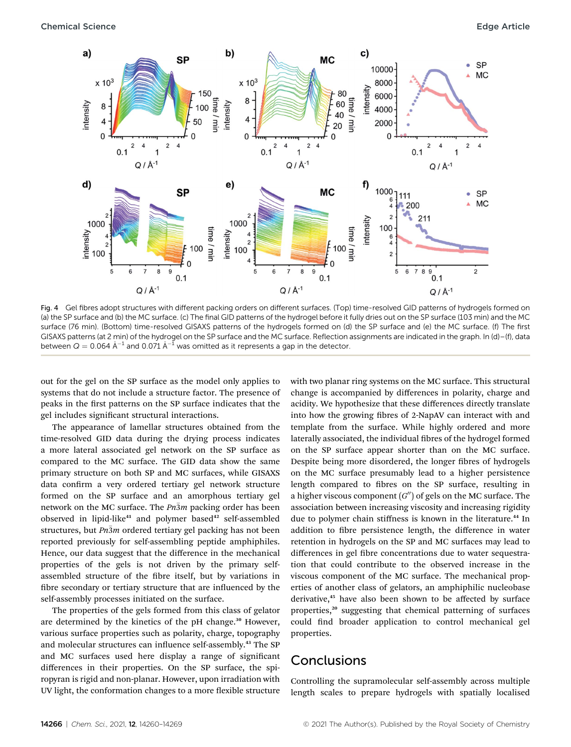

Fig. 4 Gel fibres adopt structures with different packing orders on different surfaces. (Top) time-resolved GID patterns of hydrogels formed on (a) the SP surface and (b) the MC surface. (c) The final GID patterns of the hydrogel before it fully dries out on the SP surface (103 min) and the MC surface (76 min). (Bottom) time-resolved GISAXS patterns of the hydrogels formed on (d) the SP surface and (e) the MC surface. (f) The first GISAXS patterns (at 2 min) of the hydrogel on the SP surface and the MC surface. Reflection assignments are indicated in the graph. In (d)–(f), data between  $Q = 0.064 \text{ Å}^{-1}$  and 0.071  $\text{Å}^{-1}$  was omitted as it represents a gap in the detector.

out for the gel on the SP surface as the model only applies to systems that do not include a structure factor. The presence of peaks in the first patterns on the SP surface indicates that the gel includes significant structural interactions.

The appearance of lamellar structures obtained from the time-resolved GID data during the drying process indicates a more lateral associated gel network on the SP surface as compared to the MC surface. The GID data show the same primary structure on both SP and MC surfaces, while GISAXS data confirm a very ordered tertiary gel network structure formed on the SP surface and an amorphous tertiary gel network on the MC surface. The  $Pn\overline{3}m$  packing order has been observed in lipid-like<sup>41</sup> and polymer based<sup>42</sup> self-assembled structures, but  $Pn\overline{3}m$  ordered tertiary gel packing has not been reported previously for self-assembling peptide amphiphiles. Hence, our data suggest that the difference in the mechanical properties of the gels is not driven by the primary selfassembled structure of the fibre itself, but by variations in fibre secondary or tertiary structure that are influenced by the self-assembly processes initiated on the surface.

The properties of the gels formed from this class of gelator are determined by the kinetics of the pH change.<sup>30</sup> However, various surface properties such as polarity, charge, topography and molecular structures can influence self-assembly.<sup>43</sup> The SP and MC surfaces used here display a range of signicant differences in their properties. On the SP surface, the spiropyran is rigid and non-planar. However, upon irradiation with UV light, the conformation changes to a more flexible structure with two planar ring systems on the MC surface. This structural change is accompanied by differences in polarity, charge and acidity. We hypothesize that these differences directly translate into how the growing fibres of 2-NapAV can interact with and template from the surface. While highly ordered and more laterally associated, the individual fibres of the hydrogel formed on the SP surface appear shorter than on the MC surface. Despite being more disordered, the longer fibres of hydrogels on the MC surface presumably lead to a higher persistence length compared to fibres on the SP surface, resulting in a higher viscous component  $(G'')$  of gels on the MC surface. The association between increasing viscosity and increasing rigidity due to polymer chain stiffness is known in the literature.<sup>44</sup> In addition to fibre persistence length, the difference in water retention in hydrogels on the SP and MC surfaces may lead to differences in gel fibre concentrations due to water sequestration that could contribute to the observed increase in the viscous component of the MC surface. The mechanical properties of another class of gelators, an amphiphilic nucleobase derivative,<sup>45</sup> have also been shown to be affected by surface properties,<sup>20</sup> suggesting that chemical patterning of surfaces could find broader application to control mechanical gel properties.

### **Conclusions**

Controlling the supramolecular self-assembly across multiple length scales to prepare hydrogels with spatially localised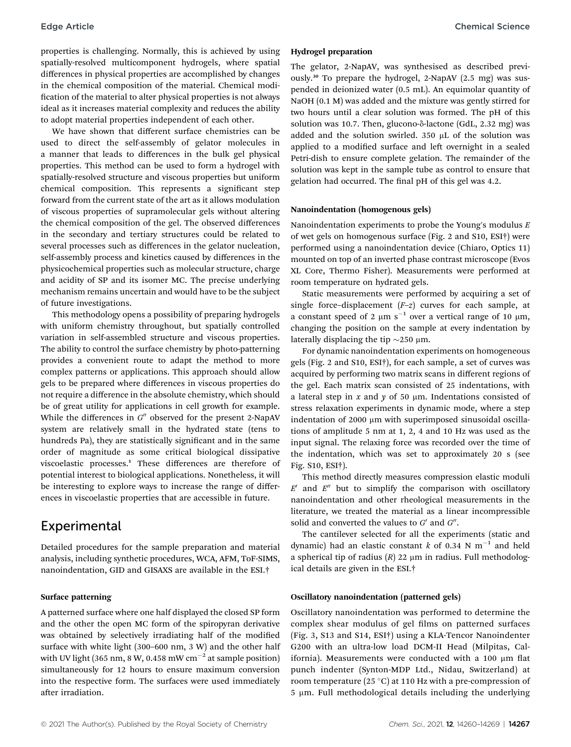properties is challenging. Normally, this is achieved by using spatially-resolved multicomponent hydrogels, where spatial differences in physical properties are accomplished by changes in the chemical composition of the material. Chemical modi fication of the material to alter physical properties is not always ideal as it increases material complexity and reduces the ability to adopt material properties independent of each other.

We have shown that different surface chemistries can be used to direct the self-assembly of gelator molecules in a manner that leads to differences in the bulk gel physical properties. This method can be used to form a hydrogel with spatially-resolved structure and viscous properties but uniform chemical composition. This represents a significant step forward from the current state of the art as it allows modulation of viscous properties of supramolecular gels without altering the chemical composition of the gel. The observed differences in the secondary and tertiary structures could be related to several processes such as differences in the gelator nucleation, self-assembly process and kinetics caused by differences in the physicochemical properties such as molecular structure, charge and acidity of SP and its isomer MC. The precise underlying mechanism remains uncertain and would have to be the subject of future investigations.

This methodology opens a possibility of preparing hydrogels with uniform chemistry throughout, but spatially controlled variation in self-assembled structure and viscous properties. The ability to control the surface chemistry by photo-patterning provides a convenient route to adapt the method to more complex patterns or applications. This approach should allow gels to be prepared where differences in viscous properties do not require a difference in the absolute chemistry, which should be of great utility for applications in cell growth for example. While the differences in  $G''$  observed for the present 2-NapAV system are relatively small in the hydrated state (tens to hundreds Pa), they are statistically significant and in the same order of magnitude as some critical biological dissipative viscoelastic processes.<sup>1</sup> These differences are therefore of potential interest to biological applications. Nonetheless, it will be interesting to explore ways to increase the range of differences in viscoelastic properties that are accessible in future.

### Experimental

Detailed procedures for the sample preparation and material analysis, including synthetic procedures, WCA, AFM, ToF-SIMS, nanoindentation, GID and GISAXS are available in the ESI.†

#### Surface patterning

A patterned surface where one half displayed the closed SP form and the other the open MC form of the spiropyran derivative was obtained by selectively irradiating half of the modified surface with white light (300–600 nm, 3 W) and the other half with UV light (365 nm, 8 W, 0.458 mW  $cm^{-2}$  at sample position) simultaneously for 12 hours to ensure maximum conversion into the respective form. The surfaces were used immediately after irradiation.

#### Hydrogel preparation

The gelator, 2-NapAV, was synthesised as described previously.<sup>30</sup> To prepare the hydrogel, 2-NapAV (2.5 mg) was suspended in deionized water (0.5 mL). An equimolar quantity of NaOH  $(0.1 M)$  was added and the mixture was gently stirred for two hours until a clear solution was formed. The pH of this solution was 10.7. Then, glucono- $\delta$ -lactone (GdL, 2.32 mg) was added and the solution swirled. 350  $\mu$ L of the solution was applied to a modified surface and left overnight in a sealed Petri-dish to ensure complete gelation. The remainder of the solution was kept in the sample tube as control to ensure that gelation had occurred. The final pH of this gel was 4.2.

#### Nanoindentation (homogenous gels)

Nanoindentation experiments to probe the Young's modulus  $E$ of wet gels on homogenous surface (Fig. 2 and S10, ESI†) were performed using a nanoindentation device (Chiaro, Optics 11) mounted on top of an inverted phase contrast microscope (Evos XL Core, Thermo Fisher). Measurements were performed at room temperature on hydrated gels.

Static measurements were performed by acquiring a set of single force-displacement  $(F-z)$  curves for each sample, at a constant speed of 2  $\mu$ m s<sup>-1</sup> over a vertical range of 10  $\mu$ m, changing the position on the sample at every indentation by laterally displacing the tip  $\sim$ 250 µm.

For dynamic nanoindentation experiments on homogeneous gels (Fig. 2 and S10, ESI†), for each sample, a set of curves was acquired by performing two matrix scans in different regions of the gel. Each matrix scan consisted of 25 indentations, with a lateral step in  $x$  and  $y$  of 50  $\mu$ m. Indentations consisted of stress relaxation experiments in dynamic mode, where a step indentation of 2000 µm with superimposed sinusoidal oscillations of amplitude 5 nm at 1, 2, 4 and 10 Hz was used as the input signal. The relaxing force was recorded over the time of the indentation, which was set to approximately 20 s (see Fig. S10, ESI†).

This method directly measures compression elastic moduli  $E'$  and  $E''$  but to simplify the comparison with oscillatory nanoindentation and other rheological measurements in the literature, we treated the material as a linear incompressible solid and converted the values to  $G'$  and  $G''$ .

The cantilever selected for all the experiments (static and dynamic) had an elastic constant k of 0.34 N  $m^{-1}$  and held a spherical tip of radius  $(R)$  22  $\mu$ m in radius. Full methodological details are given in the ESI.†

#### Oscillatory nanoindentation (patterned gels)

Oscillatory nanoindentation was performed to determine the complex shear modulus of gel films on patterned surfaces (Fig. 3, S13 and S14, ESI†) using a KLA-Tencor Nanoindenter G200 with an ultra-low load DCM-II Head (Milpitas, California). Measurements were conducted with a 100  $\mu$ m flat punch indenter (Synton-MDP Ltd., Nidau, Switzerland) at room temperature (25 °C) at 110 Hz with a pre-compression of 5 µm. Full methodological details including the underlying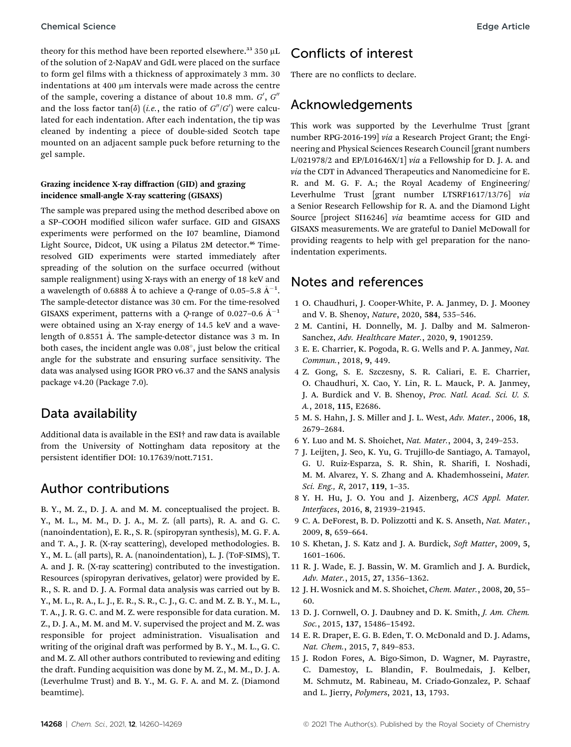theory for this method have been reported elsewhere.<sup>33</sup> 350  $\mu$ L of the solution of 2-NapAV and GdL were placed on the surface to form gel films with a thickness of approximately 3 mm. 30 indentations at 400  $\upmu \textrm{m}$  intervals were made across the centre of the sample, covering a distance of about 10.8 mm.  $G',\,G''$ and the loss factor  $tan(\delta)$  (*i.e.*, the ratio of  $G''/G'$ ) were calculated for each indentation. After each indentation, the tip was cleaned by indenting a piece of double-sided Scotch tape mounted on an adjacent sample puck before returning to the gel sample.

#### Grazing incidence X-ray diffraction (GID) and grazing incidence small-angle X-ray scattering (GISAXS)

The sample was prepared using the method described above on a SP-COOH modified silicon wafer surface. GID and GISAXS experiments were performed on the I07 beamline, Diamond Light Source, Didcot, UK using a Pilatus 2M detector.<sup>46</sup> Timeresolved GID experiments were started immediately after spreading of the solution on the surface occurred (without sample realignment) using X-rays with an energy of 18 keV and a wavelength of 0.6888 Å to achieve a Q-range of 0.05–5.8 Å $^{-1}$ . The sample-detector distance was 30 cm. For the time-resolved GISAXS experiment, patterns with a Q-range of 0.027–0.6  $\AA^{-1}$ were obtained using an X-ray energy of 14.5 keV and a wavelength of 0.8551 A. The sample-detector distance was 3 m. In both cases, the incident angle was  $0.08^\circ$ , just below the critical angle for the substrate and ensuring surface sensitivity. The data was analysed using IGOR PRO v6.37 and the SANS analysis package v4.20 (Package 7.0).

### Data availability

Additional data is available in the ESI† and raw data is available from the University of Nottingham data repository at the persistent identifier DOI: 10.17639/nott.7151.

### Author contributions

B. Y., M. Z., D. J. A. and M. M. conceptualised the project. B. Y., M. L., M. M., D. J. A., M. Z. (all parts), R. A. and G. C. (nanoindentation), E. R., S. R. (spiropyran synthesis), M. G. F. A. and T. A., J. R. (X-ray scattering), developed methodologies. B. Y., M. L. (all parts), R. A. (nanoindentation), L. J. (ToF-SIMS), T. A. and J. R. (X-ray scattering) contributed to the investigation. Resources (spiropyran derivatives, gelator) were provided by E. R., S. R. and D. J. A. Formal data analysis was carried out by B. Y., M. L., R. A., L. J., E. R., S. R., C. J., G. C. and M. Z. B. Y., M. L., T. A., J. R. G. C. and M. Z. were responsible for data curation. M. Z., D. J. A., M. M. and M. V. supervised the project and M. Z. was responsible for project administration. Visualisation and writing of the original draft was performed by B.Y., M. L., G.C. and M. Z. All other authors contributed to reviewing and editing the draft. Funding acquisition was done by M. Z., M. M., D. J. A. (Leverhulme Trust) and B. Y., M. G. F. A. and M. Z. (Diamond beamtime).

### Conflicts of interest

There are no conflicts to declare.

### Acknowledgements

This work was supported by the Leverhulme Trust [grant number RPG-2016-199] via a Research Project Grant; the Engineering and Physical Sciences Research Council [grant numbers L/021978/2 and EP/L01646X/1] via a Fellowship for D. J. A. and via the CDT in Advanced Therapeutics and Nanomedicine for E. R. and M. G. F. A.; the Royal Academy of Engineering/ Leverhulme Trust [grant number LTSRF1617/13/76] via a Senior Research Fellowship for R. A. and the Diamond Light Source [project SI16246] via beamtime access for GID and GISAXS measurements. We are grateful to Daniel McDowall for providing reagents to help with gel preparation for the nanoindentation experiments.

### Notes and references

- 1 O. Chaudhuri, J. Cooper-White, P. A. Janmey, D. J. Mooney and V. B. Shenoy, Nature, 2020, 584, 535–546.
- 2 M. Cantini, H. Donnelly, M. J. Dalby and M. Salmeron-Sanchez, Adv. Healthcare Mater., 2020, 9, 1901259.
- 3 E. E. Charrier, K. Pogoda, R. G. Wells and P. A. Janmey, Nat. Commun., 2018, 9, 449.
- 4 Z. Gong, S. E. Szczesny, S. R. Caliari, E. E. Charrier, O. Chaudhuri, X. Cao, Y. Lin, R. L. Mauck, P. A. Janmey, J. A. Burdick and V. B. Shenoy, Proc. Natl. Acad. Sci. U. S. A., 2018, 115, E2686.
- 5 M. S. Hahn, J. S. Miller and J. L. West, Adv. Mater., 2006, 18, 2679–2684.
- 6 Y. Luo and M. S. Shoichet, Nat. Mater., 2004, 3, 249–253.
- 7 J. Leijten, J. Seo, K. Yu, G. Trujillo-de Santiago, A. Tamayol, G. U. Ruiz-Esparza, S. R. Shin, R. Sharifi, I. Noshadi, M. M. Alvarez, Y. S. Zhang and A. Khademhosseini, Mater. Sci. Eng., R, 2017, 119, 1–35.
- 8 Y. H. Hu, J. O. You and J. Aizenberg, ACS Appl. Mater. Interfaces, 2016, 8, 21939–21945.
- 9 C. A. DeForest, B. D. Polizzotti and K. S. Anseth, Nat. Mater., 2009, 8, 659–664.
- 10 S. Khetan, J. S. Katz and J. A. Burdick, Soft Matter, 2009, 5, 1601–1606.
- 11 R. J. Wade, E. J. Bassin, W. M. Gramlich and J. A. Burdick, Adv. Mater., 2015, 27, 1356–1362.
- 12 J. H. Wosnick and M. S. Shoichet, Chem. Mater., 2008, 20, 55– 60.
- 13 D. J. Cornwell, O. J. Daubney and D. K. Smith, J. Am. Chem. Soc., 2015, 137, 15486–15492.
- 14 E. R. Draper, E. G. B. Eden, T. O. McDonald and D. J. Adams, Nat. Chem., 2015, 7, 849–853.
- 15 J. Rodon Fores, A. Bigo-Simon, D. Wagner, M. Payrastre, C. Damestoy, L. Blandin, F. Boulmedais, J. Kelber, M. Schmutz, M. Rabineau, M. Criado-Gonzalez, P. Schaaf and L. Jierry, Polymers, 2021, 13, 1793.